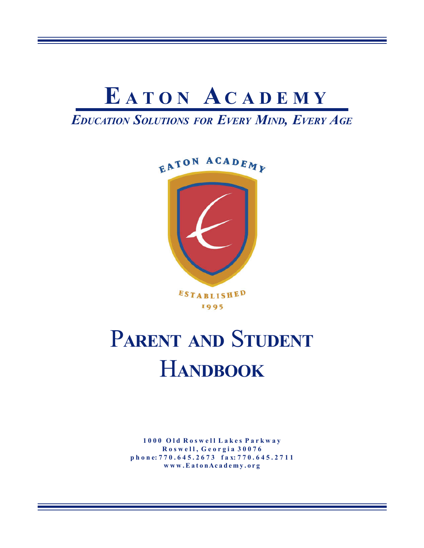

*EDUCATION SOLUTIONS FOR EVERY MIND, EVERY AGE*



1995

# P**ARENT AND** S**TUDENT** H**ANDBOOK**

**1 0 0 0 O l d R o s w e l l L a k e s P a r k w a y R o s w e l l , G e o r g i a 3 0 0 7 6 p h o n e: 7 7 0 . 6 4 5 . 2 6 7 3 f a x: 7 7 0 . 6 4 5 . 2 7 1 1 w w w . E a t o n A c a d e m y . o r g**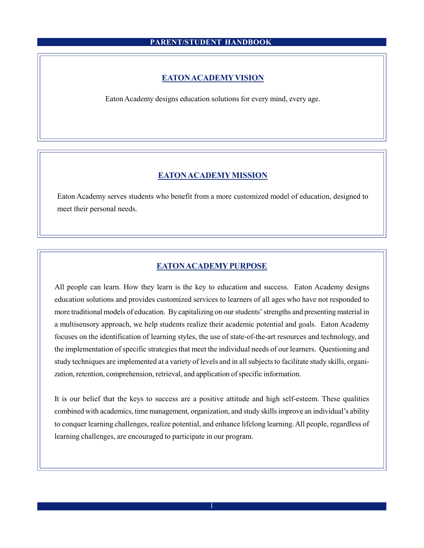#### **EATON ACADEMYVISION**

Eaton Academy designs education solutions for every mind, every age.

# **EATON ACADEMY MISSION**

Eaton Academy serves students who benefit from a more customized model of education, designed to meet their personal needs.

# **EATON ACADEMY PURPOSE**

All people can learn. How they learn is the key to education and success. Eaton Academy designs education solutions and provides customized services to learners of all ages who have not responded to more traditional models of education. By capitalizing on our students' strengths and presenting material in a multisensory approach, we help students realize their academic potential and goals. Eaton Academy focuses on the identification of learning styles, the use of state-of-the-art resources and technology, and the implementation of specific strategies that meet the individual needs of our learners. Questioning and study techniques are implemented at a variety of levels and in all subjects to facilitate study skills, organization, retention, comprehension, retrieval, and application of specific information.

It is our belief that the keys to success are a positive attitude and high self-esteem. These qualities combined with academics, time management, organization, and study skills improve an individual's ability to conquer learning challenges, realize potential, and enhance lifelong learning. All people, regardless of learning challenges, are encouraged to participate in our program.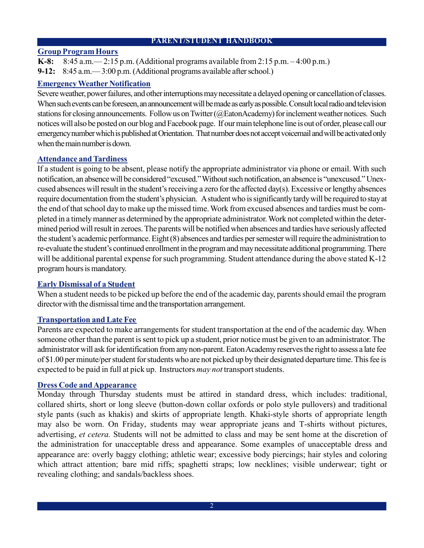# **Group Program Hours**

**K-8:** 8:45 a.m.— 2:15 p.m. (Additional programs available from 2:15 p.m. – 4:00 p.m.) **9-12:** 8:45 a.m.  $-3:00$  p.m. (Additional programs available after school.)

# **Emergency Weather Notification**

Severe weather, power failures, and other interruptions may necessitate a delayed opening or cancellation of classes. When such events can be foreseen, an announcement will be made as early as possible. Consult local radio and television stations for closing announcements. Follow us on Twitter (@EatonAcademy) for inclement weather notices. Such notices will also be posted on our blog and Facebook page. If our main telephone line is out of order, please call our emergency number which is published at Orientation. That number does not accept voicemail and will be activated only when the main number is down

# **Attendance and Tardiness**

If a student is going to be absent, please notify the appropriate administrator via phone or email. With such notification, an absencewill be considered "excused."Withoutsuch notification, an absence is "unexcused."Unexcused absences will result in the student's receiving a zero for the affected day(s). Excessive or lengthy absences require documentation from the student's physician. A student who is significantly tardy will be required to stay at the end of that school day to make up the missed time. Work from excused absences and tardies must be completed in a timelymanner as determined by the appropriate administrator.Work not completed within the determined period will result in zeroes. The parents will be notified when absences and tardies have seriously affected the student's academic performance.Eight(8) absences and tardies persemester willrequire the administration to re-evaluate the student's continued enrollment in the program and may necessitate additional programming. There will be additional parental expense for such programming. Student attendance during the above stated K-12 program hours is mandatory.

# **Early Dismissal of a Student**

When a student needs to be picked up before the end of the academic day, parents should email the program director with the dismissal time and the transportation arrangement.

# **Transportation and Late Fee**

Parents are expected to make arrangements for student transportation at the end of the academic day. When someone other than the parent is sent to pick up a student, prior notice must be given to an administrator. The administrator will ask for identification from any non-parent. Eaton Academy reserves the right to assess a late fee of \$1.00 per minute/per student for students who are not picked up by their designated departure time. This fee is expected to be paid in full at pick up. Instructors *may not* transport students.

# **Dress Code and Appearance**

Monday through Thursday students must be attired in standard dress, which includes: traditional, collared shirts, short or long sleeve (button-down collar oxfords or polo style pullovers) and traditional style pants (such as khakis) and skirts of appropriate length. Khaki-style shorts of appropriate length may also be worn. On Friday, students may wear appropriate jeans and T-shirts without pictures, advertising, *et cetera.* Students will not be admitted to class and may be sent home at the discretion of the administration for unacceptable dress and appearance. Some examples of unacceptable dress and appearance are: overly baggy clothing; athletic wear; excessive body piercings; hair styles and coloring which attract attention; bare mid riffs; spaghetti straps; low necklines; visible underwear; tight or revealing clothing; and sandals/backless shoes.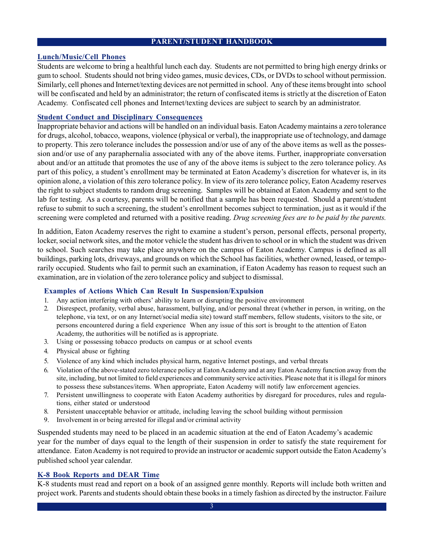# **Lunch/Music/Cell Phones**

Students are welcome to bring a healthful lunch each day. Students are not permitted to bring high energy drinks or gum to school. Students should not bring video games, music devices, CDs, or DVDs to school without permission. Similarly, cell phones and Internet/texting devices are not permitted in school. Any of these items brought into school will be confiscated and held by an administrator; the return of confiscated items is strictly at the discretion of Eaton Academy. Confiscated cell phones and Internet/texting devices are subject to search by an administrator.

#### **Student Conduct and Disciplinary Consequences**

Inappropriate behavior and actions will be handled on an individual basis. Eaton Academy maintains a zero tolerance for drugs, alcohol, tobacco, weapons, violence (physical or verbal), the inappropriate use of technology, and damage to property. This zero tolerance includes the possession and/or use of any of the above items as well as the possession and/or use of any paraphernalia associated with any of the above items. Further, inappropriate conversation about and/or an attitude that promotes the use of any of the above items is subject to the zero tolerance policy. As part of this policy, a student's enrollment may be terminated at Eaton Academy's discretion for whatever is, in its opinion alone, a violation of this zero tolerance policy. In view of its zero tolerance policy, Eaton Academy reserves the right to subject students to random drug screening. Samples will be obtained at Eaton Academy and sent to the lab for testing. As a courtesy, parents will be notified that a sample has been requested. Should a parent/student refuse to submit to such a screening, the student's enrollment becomes subject to termination, just as it would if the screening were completed and returned with a positive reading. *Drug screening fees are to be paid by the parents.*

In addition, Eaton Academy reserves the right to examine a student's person, personal effects, personal property, locker, social network sites, and the motor vehicle the student has driven to school or in which the student was driven to school. Such searches may take place anywhere on the campus of Eaton Academy. Campus is defined as all buildings, parking lots, driveways, and grounds on which the School has facilities, whether owned, leased, or temporarily occupied. Students who fail to permit such an examination, if Eaton Academy has reason to request such an examination, are in violation of the zero tolerance policy and subject to dismissal.

#### **Examples of Actions Which Can Result In Suspension/Expulsion**

- 1. Any action interfering with others' ability to learn or disrupting the positive environment
- 2. Disrespect, profanity, verbal abuse, harassment, bullying, and/or personal threat (whether in person, in writing, on the telephone, via text, or on any Internet/social media site) toward staff members, fellow students, visitors to the site, or persons encountered during a field experience When any issue of this sort is brought to the attention of Eaton Academy, the authorities will be notified as is appropriate.
- 3. Using or possessing tobacco products on campus or at school events
- 4. Physical abuse or fighting
- 5. Violence of any kind which includes physical harm, negative Internet postings, and verbal threats
- 6. Violation of the above-stated zero tolerance policy at Eaton Academy and at any Eaton Academy function away from the site, including, but not limited to field experiences and community service activities. Please note that it is illegal for minors to possess these substances/items. When appropriate, Eaton Academy will notify law enforcement agencies.
- 7. Persistent unwillingness to cooperate with Eaton Academy authorities by disregard for procedures, rules and regulations, either stated or understood
- 8. Persistent unacceptable behavior or attitude, including leaving the school building without permission
- 9. Involvement in or being arrested for illegal and/or criminal activity

Suspended students may need to be placed in an academic situation at the end of Eaton Academy's academic year for the number of days equal to the length of their suspension in order to satisfy the state requirement for attendance. Eaton Academy is not required to provide an instructor or academic support outside the Eaton Academy's published school year calendar.

#### **K-8 Book Reports and DEAR Time**

K-8 students must read and report on a book of an assigned genre monthly. Reports will include both written and project work. Parents and students should obtain these books in a timely fashion as directed by the instructor. Failure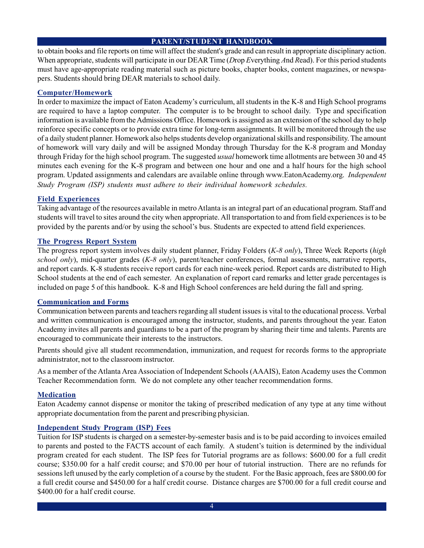to obtain books and file reports on time will affect the student's grade and can result in appropriate disciplinary action. When appropriate, students will participate in our DEAR Time (*D*rop *E*verything *A*nd *R*ead). For this period students must have age-appropriate reading material such as picture books, chapter books, content magazines, or newspapers. Students should bring DEAR materials to school daily.

#### **Computer/Homework**

In order to maximize the impact of Eaton Academy's curriculum, all students in the K-8 and High School programs are required to have a laptop computer. The computer is to be brought to school daily. Type and specification information is available from the Admissions Office. Homework is assigned as an extension of the school day to help reinforce specific concepts or to provide extra time for long-term assignments. It will be monitored through the use of a daily student planner. Homework also helps students develop organizational skills and responsibility. The amount of homework will vary daily and will be assigned Monday through Thursday for the K-8 program and Monday through Friday for the high school program. The suggested *usual* homework time allotments are between 30 and 45 minutes each evening for the K-8 program and between one hour and one and a half hours for the high school program. Updated assignments and calendars are available online through www.EatonAcademy.org. *Independent Study Program (ISP) students must adhere to their individual homework schedules.*

# **Field Experiences**

Taking advantage of the resources available in metro Atlanta is an integral part of an educational program. Staff and students will travel to sites around the city when appropriate. All transportation to and from field experiences is to be provided by the parents and/or by using the school's bus. Students are expected to attend field experiences.

#### **The Progress Report System**

The progress report system involves daily student planner, Friday Folders (*K-8 only*), Three Week Reports (*high school only*), mid-quarter grades (*K-8 only*), parent/teacher conferences, formal assessments, narrative reports, and report cards. K-8 students receive report cards for each nine-week period. Report cards are distributed to High School students at the end of each semester. An explanation of report card remarks and letter grade percentages is included on page 5 of this handbook. K-8 and High School conferences are held during the fall and spring.

# **Communication and Forms**

Communication between parents and teachers regarding all student issues is vital to the educational process. Verbal and written communication is encouraged among the instructor, students, and parents throughout the year. Eaton Academy invites all parents and guardians to be a part of the program by sharing their time and talents. Parents are encouraged to communicate their interests to the instructors.

Parents should give all student recommendation, immunization, and request for records forms to the appropriate administrator, not to the classroom instructor.

As a member of the Atlanta Area Association of Independent Schools (AAAIS), Eaton Academy uses the Common Teacher Recommendation form. We do not complete any other teacher recommendation forms.

#### **Medication**

Eaton Academy cannot dispense or monitor the taking of prescribed medication of any type at any time without appropriate documentation from the parent and prescribing physician.

#### **Independent Study Program (ISP) Fees**

Tuition for ISP students is charged on a semester-by-semester basis and is to be paid according to invoices emailed to parents and posted to the FACTS account of each family. A student's tuition is determined by the individual program created for each student. The ISP fees for Tutorial programs are as follows: \$600.00 for a full credit course; \$350.00 for a half credit course; and \$70.00 per hour of tutorial instruction. There are no refunds for sessions left unused by the early completion of a course by the student. For the Basic approach, fees are \$800.00 for a full credit course and \$450.00 for a half credit course. Distance charges are \$700.00 for a full credit course and \$400.00 for a half credit course.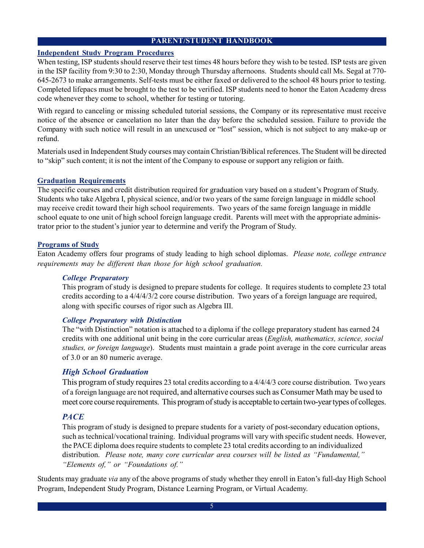#### **Independent Study Program Procedures**

When testing, ISP students should reserve their test times 48 hours before they wish to be tested. ISP tests are given in the ISP facility from 9:30 to 2:30, Monday through Thursday afternoons. Students should call Ms. Segal at 770- 645-2673 to make arrangements. Self-tests must be either faxed or delivered to the school 48 hours prior to testing. Completed lifepacs must be brought to the test to be verified. ISP students need to honor the Eaton Academy dress code whenever they come to school, whether for testing or tutoring.

With regard to canceling or missing scheduled tutorial sessions, the Company or its representative must receive notice of the absence or cancelation no later than the day before the scheduled session. Failure to provide the Company with such notice will result in an unexcused or "lost" session, which is not subject to any make-up or refund.

Materials used in Independent Study courses may contain Christian/Biblical references. The Student will be directed to "skip" such content; it is not the intent of the Company to espouse or support any religion or faith.

#### **Graduation Requirements**

The specific courses and credit distribution required for graduation vary based on a student's Program of Study. Students who take Algebra I, physical science, and/or two years of the same foreign language in middle school may receive credit toward their high school requirements. Two years of the same foreign language in middle school equate to one unit of high school foreign language credit. Parents will meet with the appropriate administrator prior to the student's junior year to determine and verify the Program of Study.

#### **Programs of Study**

Eaton Academy offers four programs of study leading to high school diplomas. *Please note, college entrance requirements may be different than those for high school graduation.*

#### *College Preparatory*

This program of study is designed to prepare students for college. It requires students to complete 23 total credits according to a 4/4/4/3/2 core course distribution. Two years of a foreign language are required, along with specific courses of rigor such as Algebra III.

#### *College Preparatory with Distinction*

The "with Distinction" notation is attached to a diploma if the college preparatory student has earned 24 credits with one additional unit being in the core curricular areas (*English, mathematics, science, social studies, or foreign language*). Students must maintain a grade point average in the core curricular areas of 3.0 or an 80 numeric average.

#### *High School Graduation*

This program of study requires 23 total credits according to a 4/4/4/3 core course distribution. Two years of a foreign language are not required, and alternative courses such as Consumer Math may be used to meet core course requirements. This program of study is acceptable to certain two-year types of colleges.

#### *PACE*

This program of study is designed to prepare students for a variety of post-secondary education options, such as technical/vocational training. Individual programs will vary with specific student needs. However, the PACE diploma does require students to complete 23 total credits according to an individualized distribution. *Please note, many core curricular area courses will be listed as "Fundamental," "Elements of," or "Foundations of."*

Students may graduate *via* any of the above programs of study whether they enroll in Eaton's full-day High School Program, Independent Study Program, Distance Learning Program, or Virtual Academy.